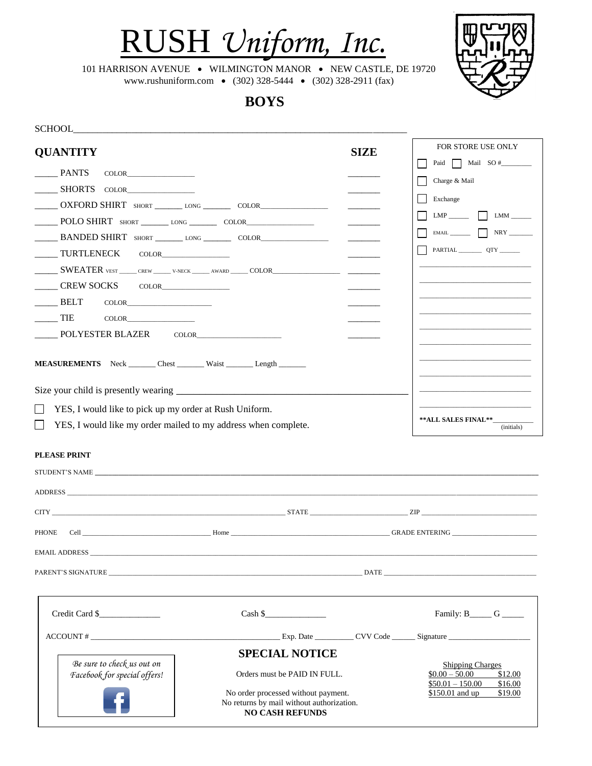

101 HARRISON AVENUE • WILMINGTON MANOR • NEW CASTLE, DE 19720 www.rushuniform.com • (302) 328-5444 • (302) 328-2911 (fax)

 **BOYS**

| <b>SCHOOL</b>                                                                     |                                                                                                            |             |                                                                                       |
|-----------------------------------------------------------------------------------|------------------------------------------------------------------------------------------------------------|-------------|---------------------------------------------------------------------------------------|
| <b>QUANTITY</b>                                                                   |                                                                                                            | <b>SIZE</b> | FOR STORE USE ONLY                                                                    |
| <b>PANTS</b><br><b>COLOR</b>                                                      |                                                                                                            |             | Paid Mail SO #                                                                        |
| <b>SHORTS</b><br><b>COLOR</b>                                                     |                                                                                                            |             | Charge & Mail                                                                         |
| OXFORD SHIRT SHORT __________LONG _______________ COLOR__________________________ |                                                                                                            |             | Exchange                                                                              |
|                                                                                   |                                                                                                            |             | $LMP$ $LMM$ $\qquad$                                                                  |
|                                                                                   |                                                                                                            |             | <b>NRY</b>                                                                            |
| TURTLENECK                                                                        |                                                                                                            |             |                                                                                       |
|                                                                                   | ______ SWEATER VEST ______ CREW ______ V-NECK ______ AWARD _____ COLOR_________________                    |             |                                                                                       |
| CREW SOCKS                                                                        |                                                                                                            |             |                                                                                       |
| <b>BELT</b>                                                                       |                                                                                                            |             |                                                                                       |
| <b>TIE</b><br><b>COLOR</b>                                                        |                                                                                                            |             |                                                                                       |
| POLYESTER BLAZER                                                                  | COLOR TELEVISION COLOR                                                                                     |             |                                                                                       |
|                                                                                   |                                                                                                            |             |                                                                                       |
| MEASUREMENTS Neck ________ Chest _________ Waist ________ Length ________         |                                                                                                            |             |                                                                                       |
|                                                                                   |                                                                                                            |             |                                                                                       |
| YES, I would like to pick up my order at Rush Uniform.                            |                                                                                                            |             |                                                                                       |
| YES, I would like my order mailed to my address when complete.                    |                                                                                                            |             | ** ALL SALES FINAL**                                                                  |
|                                                                                   |                                                                                                            |             | (initials)                                                                            |
| <b>PLEASE PRINT</b>                                                               |                                                                                                            |             |                                                                                       |
|                                                                                   |                                                                                                            |             |                                                                                       |
| ADDRESS <b>Example 20</b> Section 20 ADDRESS                                      |                                                                                                            |             |                                                                                       |
|                                                                                   |                                                                                                            |             |                                                                                       |
|                                                                                   |                                                                                                            |             |                                                                                       |
| <b>PHONE</b>                                                                      | Cell GRADE ENTERING                                                                                        |             |                                                                                       |
| EMAIL ADDRESS                                                                     |                                                                                                            |             |                                                                                       |
| PARENT'S SIGNATURE DATE                                                           |                                                                                                            |             |                                                                                       |
|                                                                                   |                                                                                                            |             |                                                                                       |
| Credit Card \$                                                                    | Cash \$                                                                                                    |             | Family: $B_$ G                                                                        |
| $\text{ACCOUNT}\,\#$                                                              |                                                                                                            |             | Exp. Date ______________ CVV Code _________ Signature __________________________      |
|                                                                                   | <b>SPECIAL NOTICE</b>                                                                                      |             |                                                                                       |
| Be sure to check us out on<br>Facebook for special offers!                        | Orders must be PAID IN FULL.                                                                               |             | <b>Shipping Charges</b><br>$$0.00 - 50.00$<br>\$12.00<br>$$50.01 - 150.00$<br>\$16.00 |
|                                                                                   | No order processed without payment.<br>No returns by mail without authorization.<br><b>NO CASH REFUNDS</b> |             | \$150.01 and up<br>\$19.00                                                            |